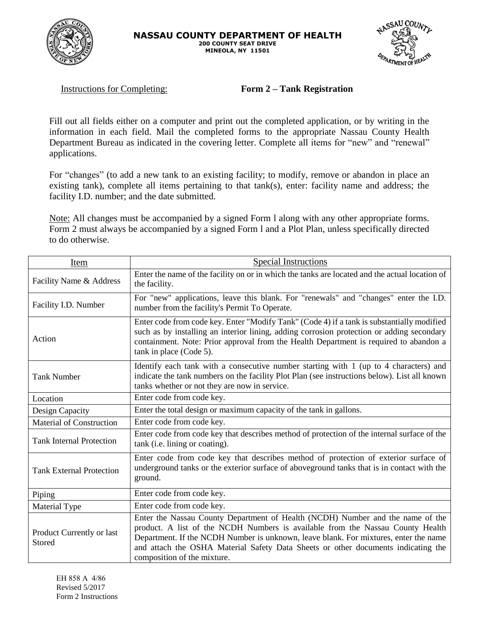



Instructions for Completing: **Form 2 – Tank Registration**

Fill out all fields either on a computer and print out the completed application, or by writing in the information in each field. Mail the completed forms to the appropriate Nassau County Health Department Bureau as indicated in the covering letter. Complete all items for "new" and "renewal" applications.

For "changes" (to add a new tank to an existing facility; to modify, remove or abandon in place an existing tank), complete all items pertaining to that tank(s), enter: facility name and address; the facility I.D. number; and the date submitted.

Note: All changes must be accompanied by a signed Form l along with any other appropriate forms. Form 2 must always be accompanied by a signed Form l and a Plot Plan, unless specifically directed to do otherwise.

| Item                                | <b>Special Instructions</b>                                                                                                                                                                                                                                                                                                                                                  |  |  |
|-------------------------------------|------------------------------------------------------------------------------------------------------------------------------------------------------------------------------------------------------------------------------------------------------------------------------------------------------------------------------------------------------------------------------|--|--|
| Facility Name & Address             | Enter the name of the facility on or in which the tanks are located and the actual location of<br>the facility.                                                                                                                                                                                                                                                              |  |  |
| Facility I.D. Number                | For "new" applications, leave this blank. For "renewals" and "changes" enter the I.D.<br>number from the facility's Permit To Operate.                                                                                                                                                                                                                                       |  |  |
| Action                              | Enter code from code key. Enter "Modify Tank" (Code 4) if a tank is substantially modified<br>such as by installing an interior lining, adding corrosion protection or adding secondary<br>containment. Note: Prior approval from the Health Department is required to abandon a<br>tank in place (Code 5).                                                                  |  |  |
| <b>Tank Number</b>                  | Identify each tank with a consecutive number starting with 1 (up to 4 characters) and<br>indicate the tank numbers on the facility Plot Plan (see instructions below). List all known<br>tanks whether or not they are now in service.                                                                                                                                       |  |  |
| Location                            | Enter code from code key.                                                                                                                                                                                                                                                                                                                                                    |  |  |
| Design Capacity                     | Enter the total design or maximum capacity of the tank in gallons.                                                                                                                                                                                                                                                                                                           |  |  |
| <b>Material of Construction</b>     | Enter code from code key.                                                                                                                                                                                                                                                                                                                                                    |  |  |
| <b>Tank Internal Protection</b>     | Enter code from code key that describes method of protection of the internal surface of the<br>tank (i.e. lining or coating).                                                                                                                                                                                                                                                |  |  |
| <b>Tank External Protection</b>     | Enter code from code key that describes method of protection of exterior surface of<br>underground tanks or the exterior surface of aboveground tanks that is in contact with the<br>ground.                                                                                                                                                                                 |  |  |
| Piping                              | Enter code from code key.                                                                                                                                                                                                                                                                                                                                                    |  |  |
| Material Type                       | Enter code from code key.                                                                                                                                                                                                                                                                                                                                                    |  |  |
| Product Currently or last<br>Stored | Enter the Nassau County Department of Health (NCDH) Number and the name of the<br>product. A list of the NCDH Numbers is available from the Nassau County Health<br>Department. If the NCDH Number is unknown, leave blank. For mixtures, enter the name<br>and attach the OSHA Material Safety Data Sheets or other documents indicating the<br>composition of the mixture. |  |  |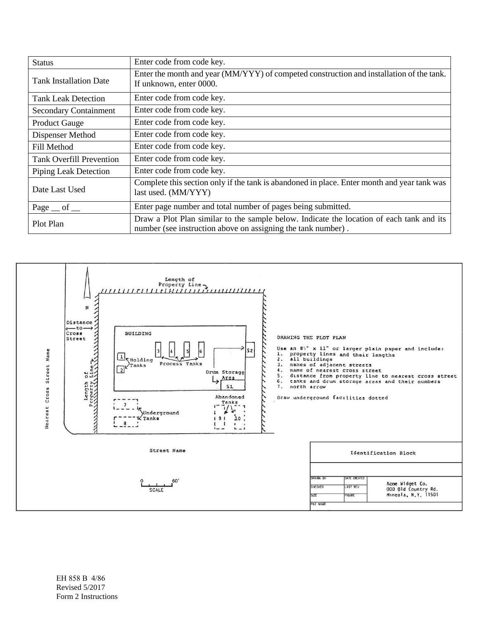| <b>Status</b>                       | Enter code from code key.                                                                                                                                |  |
|-------------------------------------|----------------------------------------------------------------------------------------------------------------------------------------------------------|--|
| <b>Tank Installation Date</b>       | Enter the month and year (MM/YYY) of competed construction and installation of the tank.<br>If unknown, enter 0000.                                      |  |
| <b>Tank Leak Detection</b>          | Enter code from code key.                                                                                                                                |  |
| <b>Secondary Containment</b>        | Enter code from code key.                                                                                                                                |  |
| <b>Product Gauge</b>                | Enter code from code key.                                                                                                                                |  |
| Dispenser Method                    | Enter code from code key.                                                                                                                                |  |
| Fill Method                         | Enter code from code key.                                                                                                                                |  |
| <b>Tank Overfill Prevention</b>     | Enter code from code key.                                                                                                                                |  |
| Piping Leak Detection               | Enter code from code key.                                                                                                                                |  |
| Date Last Used                      | Complete this section only if the tank is abandoned in place. Enter month and year tank was<br>last used. (MM/YYY)                                       |  |
| Page $_{\rm{ref}}$ of $_{\rm{ref}}$ | Enter page number and total number of pages being submitted.                                                                                             |  |
| Plot Plan                           | Draw a Plot Plan similar to the sample below. Indicate the location of each tank and its<br>number (see instruction above on assigning the tank number). |  |